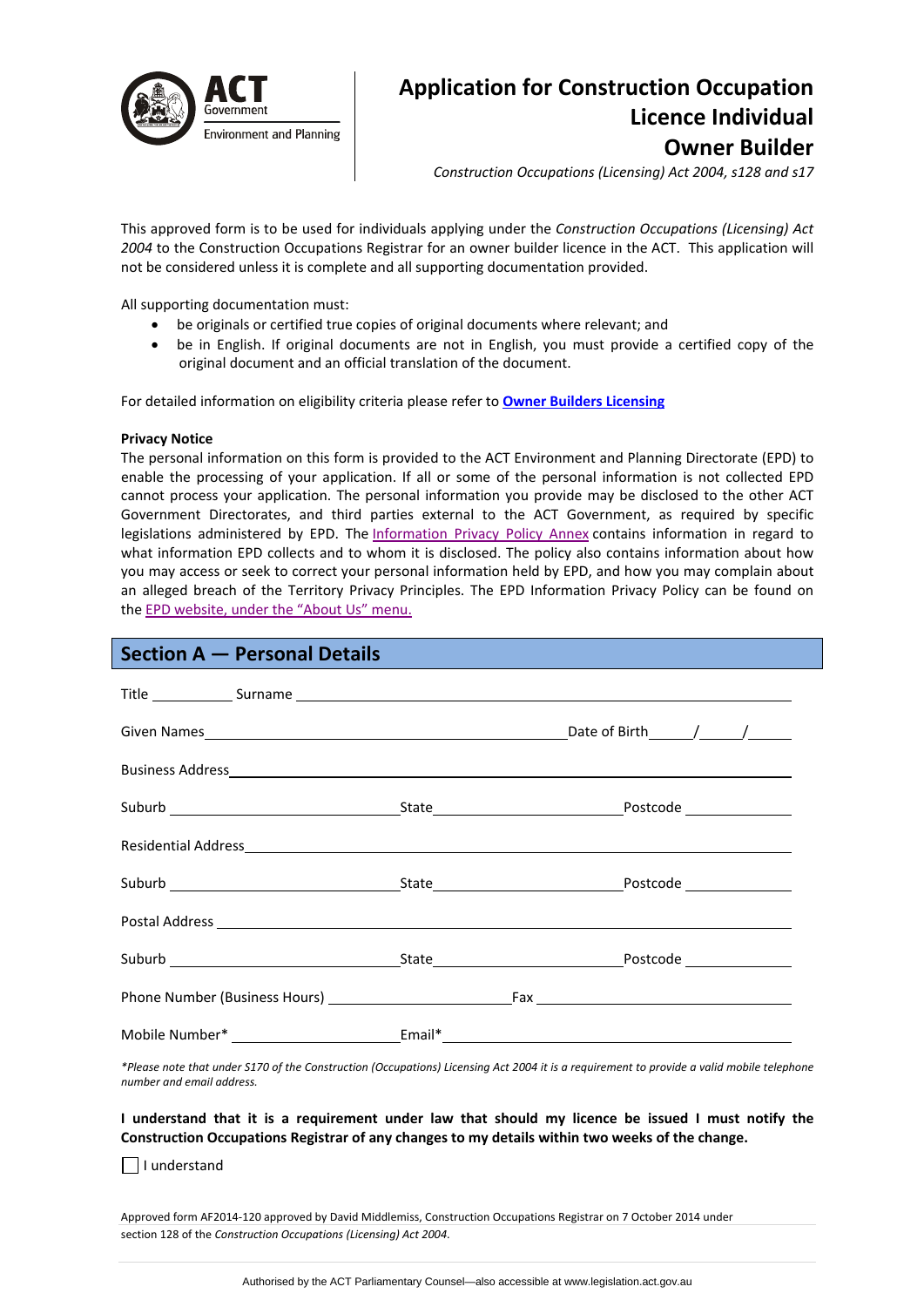

# **Application for Construction Occupation Licence Individual Owner Builder**

*Construction Occupations (Licensing) Act 2004, s128 and s17*

This approved form is to be used for individuals applying under the *Construction Occupations (Licensing) Act 2004* to the Construction Occupations Registrar for an owner builder licence in the ACT. This application will not be considered unless it is complete and all supporting documentation provided.

All supporting documentation must:

- be originals or certified true copies of original documents where relevant; and
- be in English. If original documents are not in English, you must provide a certified copy of the original document and an official translation of the document.

For detailed information on eligibility criteria please refer to **Owner Builders [Licensing](http://www.actpla.act.gov.au/topics/hiring_licensing/licence_registration/builders)** 

## **Privacy Notice**

The personal information on this form is provided to the ACT Environment and Planning Directorate (EPD) to enable the processing of your application. If all or some of the personal information is not collected EPD cannot process your application. The personal information you provide may be disclosed to the other ACT Government Directorates, and third parties external to the ACT Government, as required by specific legislations administered by EPD. The [Information](http://www.environment.act.gov.au/__data/assets/pdf_file/0006/633741/Information-Privacy-Policy-Annex.pdf) Privacy Policy Annex contains information in regard to what information EPD collects and to whom it is disclosed. The policy also contains information about how you may access or seek to correct your personal information held by EPD, and how you may complain about an alleged breach of the Territory Privacy Principles. The EPD Information Privacy Policy can be found on the EPD [website,](http://www.environment.act.gov.au/about/privacy) under the "About Us" menu.

## **Section A — Personal Details**

|  | Mobile Number* ___________________________Email*_________________________________ |
|--|-----------------------------------------------------------------------------------|

\*Please note that under S170 of the Construction (Occupations) Licensing Act 2004 it is a requirement to provide a valid mobile telephone *number and email address.* 

I understand that it is a requirement under law that should my licence be issued I must notify the **Construction Occupations Registrar of any changes to my details within two weeks of the change.**

 $\Box$  I understand

Approved form AF2014‐120 approved by David Middlemiss, Construction Occupations Registrar on 7 October 2014 under section 128 of the *Construction Occupations (Licensing) Act 2004*.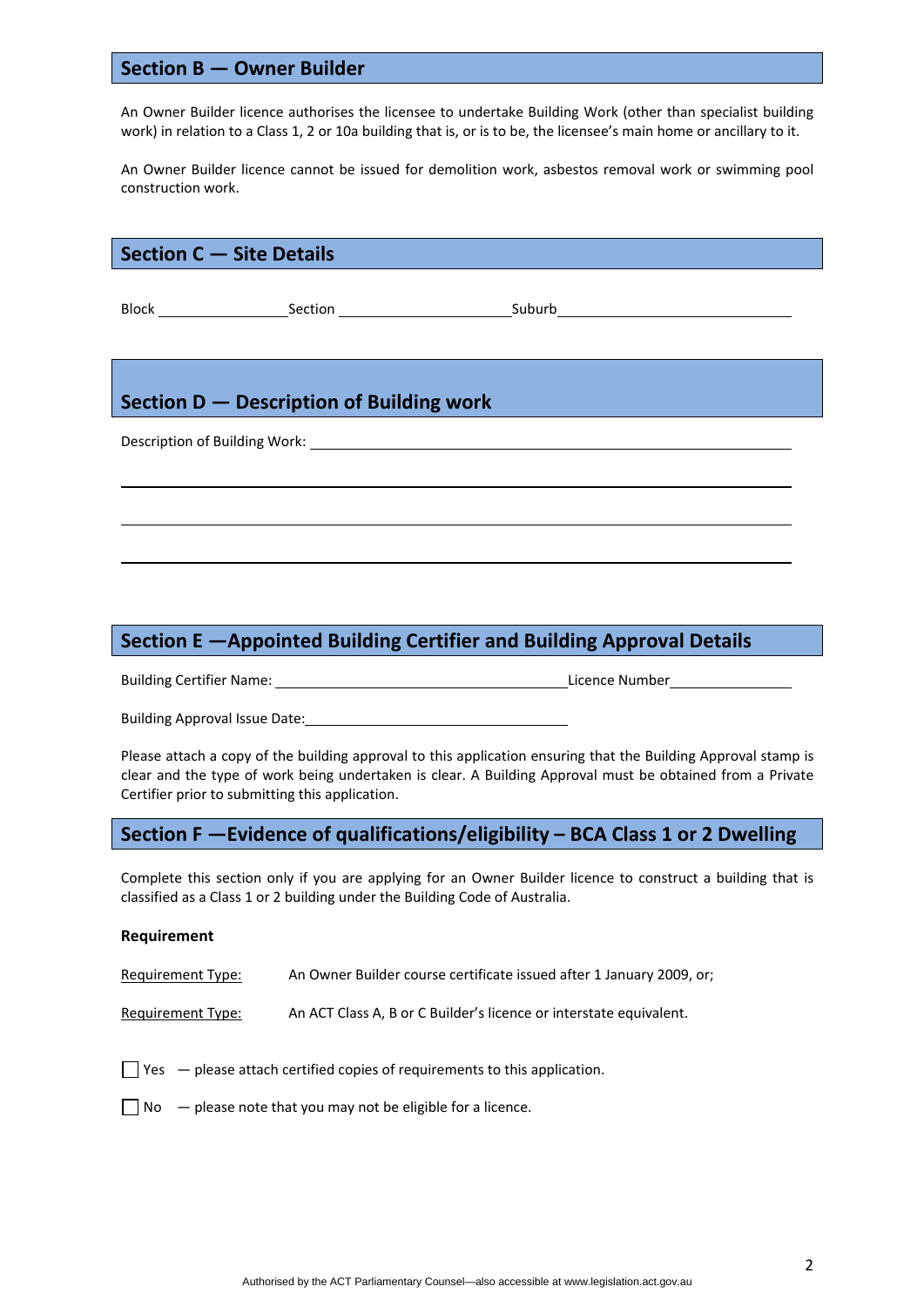## **Section B — Owner Builder**

An Owner Builder licence authorises the licensee to undertake Building Work (other than specialist building work) in relation to a Class 1, 2 or 10a building that is, or is to be, the licensee's main home or ancillary to it.

An Owner Builder licence cannot be issued for demolition work, asbestos removal work or swimming pool construction work.

| Section C - Site Details                 |  |  |  |  |  |  |
|------------------------------------------|--|--|--|--|--|--|
|                                          |  |  |  |  |  |  |
|                                          |  |  |  |  |  |  |
|                                          |  |  |  |  |  |  |
|                                          |  |  |  |  |  |  |
| Section D - Description of Building work |  |  |  |  |  |  |
|                                          |  |  |  |  |  |  |
|                                          |  |  |  |  |  |  |
|                                          |  |  |  |  |  |  |
|                                          |  |  |  |  |  |  |
|                                          |  |  |  |  |  |  |

# **Section E —Appointed Building Certifier and Building Approval Details**

Building Certifier Name: **Building Certifier Name: Commentary Commentary Commentary Commentary Commentary Commentary Commentary Commentary Commentary Commentary Commentary Commentary Commentary Commentary Commentary Comm** 

Building Approval Issue Date:

Please attach a copy of the building approval to this application ensuring that the Building Approval stamp is clear and the type of work being undertaken is clear. A Building Approval must be obtained from a Private Certifier prior to submitting this application.

# **Section F —Evidence of qualifications/eligibility – BCA Class 1 or 2 Dwelling**

Complete this section only if you are applying for an Owner Builder licence to construct a building that is classified as a Class 1 or 2 building under the Building Code of Australia.

## **Requirement**

Requirement Type: An Owner Builder course certificate issued after 1 January 2009, or;

Requirement Type: An ACT Class A, B or C Builder's licence or interstate equivalent.

 $\Box$  Yes  $-$  please attach certified copies of requirements to this application.

 $\Box$  No  $-$  please note that you may not be eligible for a licence.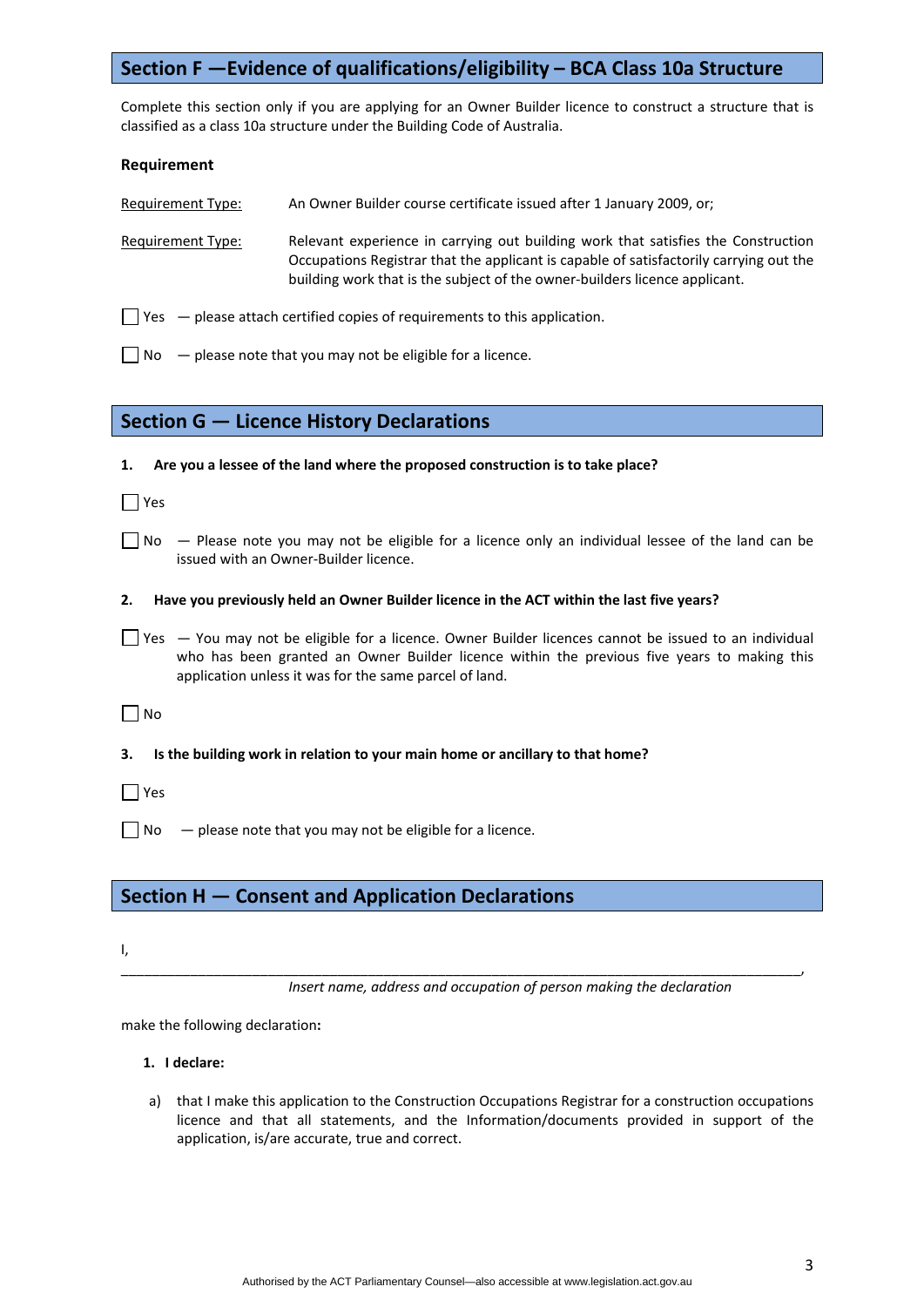# **Section F —Evidence of qualifications/eligibility – BCA Class 10a Structure**

Complete this section only if you are applying for an Owner Builder licence to construct a structure that is classified as a class 10a structure under the Building Code of Australia.

#### **Requirement**

Requirement Type: An Owner Builder course certificate issued after 1 January 2009, or;

Requirement Type: Relevant experience in carrying out building work that satisfies the Construction Occupations Registrar that the applicant is capable of satisfactorily carrying out the building work that is the subject of the owner‐builders licence applicant.

 $\Box$  Yes  $-$  please attach certified copies of requirements to this application.

**1. Are you a lessee of the land where the proposed construction is to take place?**

 $\Box$  No  $-$  please note that you may not be eligible for a licence.

## **Section G — Licence History Declarations**

| l lYes |                                                                                                                                                                                                                                                                |
|--------|----------------------------------------------------------------------------------------------------------------------------------------------------------------------------------------------------------------------------------------------------------------|
|        | $\Box$ No $\Box$ Please note you may not be eligible for a licence only an individual lessee of the land can be<br>issued with an Owner-Builder licence.                                                                                                       |
| 2.     | Have you previously held an Owner Builder licence in the ACT within the last five years?                                                                                                                                                                       |
|        | Yes - You may not be eligible for a licence. Owner Builder licences cannot be issued to an individual<br>who has been granted an Owner Builder licence within the previous five years to making this<br>application unless it was for the same parcel of land. |
| ∣No    |                                                                                                                                                                                                                                                                |

**3. Is the building work in relation to your main home or ancillary to that home?**

 $\Box$  Yes

 $\Box$  No  $\Box$  please note that you may not be eligible for a licence.

## **Section H — Consent and Application Declarations**

I,

*Insert name, address and occupation of person making the declaration*

\_\_\_\_\_\_\_\_\_\_\_\_\_\_\_\_\_\_\_\_\_\_\_\_\_\_\_\_\_\_\_\_\_\_\_\_\_\_\_\_\_\_\_\_\_\_\_\_\_\_\_\_\_\_\_\_\_\_\_\_\_\_\_\_\_\_\_\_\_\_\_\_\_\_\_\_\_\_\_\_\_\_\_\_\_\_\_\_,

make the following declaration**:**

## **1. I declare:**

a) that I make this application to the Construction Occupations Registrar for a construction occupations licence and that all statements, and the Information/documents provided in support of the application, is/are accurate, true and correct.